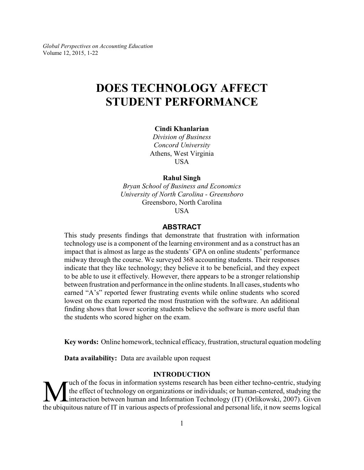*Global Perspectives on Accounting Education* Volume 12, 2015, 1-22

# **DOES TECHNOLOGY AFFECT STUDENT PERFORMANCE**

#### **Cindi Khanlarian**

*Division of Business Concord University* Athens, West Virginia **USA** 

## **Rahul Singh**

*Bryan School of Business and Economics University of North Carolina - Greensboro* Greensboro, North Carolina USA

#### **ABSTRACT**

This study presents findings that demonstrate that frustration with information technology use is a component of the learning environment and as a construct has an impact that is almost as large as the students' GPA on online students' performance midway through the course. We surveyed 368 accounting students. Their responses indicate that they like technology; they believe it to be beneficial, and they expect to be able to use it effectively. However, there appears to be a stronger relationship between frustration and performance in the online students. In all cases, students who earned "A's" reported fewer frustrating events while online students who scored lowest on the exam reported the most frustration with the software. An additional finding shows that lower scoring students believe the software is more useful than the students who scored higher on the exam.

**Key words:** Online homework, technical efficacy, frustration, structural equation modeling

**Data availability:** Data are available upon request

#### **INTRODUCTION**

W the effect of technology on organizations or individuals; or human-centered, studying the interaction between human and Information Technology (IT) (Orlikowski, 2007). Given the ubiquitous nature of IT in various aspects uch of the focus in information systems research has been either techno-centric, studying the effect of technology on organizations or individuals; or human-centered, studying the Linteraction between human and Information Technology (IT) (Orlikowski, 2007). Given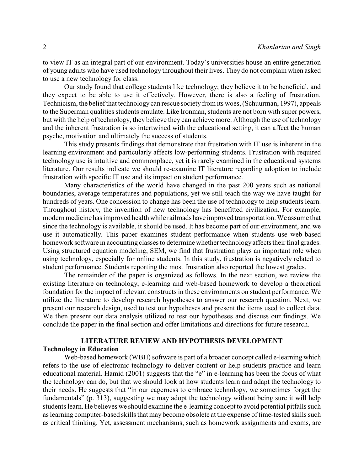to view IT as an integral part of our environment. Today's universities house an entire generation of young adults who have used technology throughout their lives. They do not complain when asked to use a new technology for class.

Our study found that college students like technology; they believe it to be beneficial, and they expect to be able to use it effectively. However, there is also a feeling of frustration. Technicism, the belief that technology can rescue society from its woes, (Schuurman, 1997), appeals to the Superman qualities students emulate. Like Ironman, students are not born with super powers, but with the help of technology, they believe they can achieve more. Although the use of technology and the inherent frustration is so intertwined with the educational setting, it can affect the human psyche, motivation and ultimately the success of students.

This study presents findings that demonstrate that frustration with IT use is inherent in the learning environment and particularly affects low-performing students. Frustration with required technology use is intuitive and commonplace, yet it is rarely examined in the educational systems literature. Our results indicate we should re-examine IT literature regarding adoption to include frustration with specific IT use and its impact on student performance.

Many characteristics of the world have changed in the past 200 years such as national boundaries, average temperatures and populations, yet we still teach the way we have taught for hundreds of years. One concession to change has been the use of technology to help students learn. Throughout history, the invention of new technology has benefitted civilization. For example, modern medicine has improved health while railroads have improved transportation. We assume that since the technology is available, it should be used. It has become part of our environment, and we use it automatically. This paper examines student performance when students use web-based homework software in accounting classes to determine whether technologyaffects their final grades. Using structured equation modeling, SEM, we find that frustration plays an important role when using technology, especially for online students. In this study, frustration is negatively related to student performance. Students reporting the most frustration also reported the lowest grades.

The remainder of the paper is organized as follows. In the next section, we review the existing literature on technology, e-learning and web-based homework to develop a theoretical foundation for the impact of relevant constructs in these environments on student performance. We utilize the literature to develop research hypotheses to answer our research question. Next, we present our research design, used to test our hypotheses and present the items used to collect data. We then present our data analysis utilized to test our hypotheses and discuss our findings. We conclude the paper in the final section and offer limitations and directions for future research.

## **LITERATURE REVIEW AND HYPOTHESIS DEVELOPMENT Technology in Education**

Web-based homework (WBH) software is part of a broader concept called e-learning which refers to the use of electronic technology to deliver content or help students practice and learn educational material. Hamid (2001) suggests that the "e" in e-learning has been the focus of what the technology can do, but that we should look at how students learn and adapt the technology to their needs. He suggests that "in our eagerness to embrace technology, we sometimes forget the fundamentals" (p. 313), suggesting we may adopt the technology without being sure it will help students learn. He believes we should examine the e-learning concept to avoid potential pitfalls such as learning computer-based skills that may become obsolete at the expense of time-tested skills such as critical thinking. Yet, assessment mechanisms, such as homework assignments and exams, are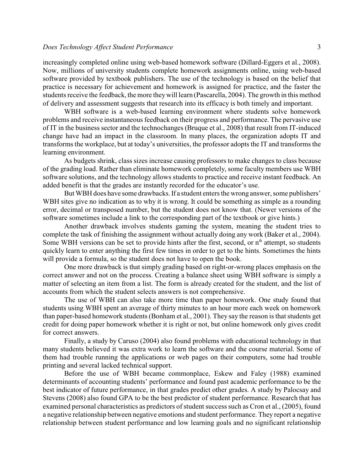#### *Does Technology Affect Student Performance* 3

increasingly completed online using web-based homework software (Dillard-Eggers et al., 2008). Now, millions of university students complete homework assignments online, using web-based software provided by textbook publishers. The use of the technology is based on the belief that practice is necessary for achievement and homework is assigned for practice, and the faster the students receive the feedback, the more theywill learn (Pascarella, 2004). The growth in this method of delivery and assessment suggests that research into its efficacy is both timely and important.

WBH software is a web-based learning environment where students solve homework problems and receive instantaneous feedback on their progress and performance. The pervasive use of IT in the business sector and the technochanges (Bruque et al., 2008) that result from IT-induced change have had an impact in the classroom. In many places, the organization adopts IT and transforms the workplace, but at today's universities, the professor adopts the IT and transforms the learning environment.

As budgets shrink, class sizes increase causing professors to make changes to class because of the grading load. Rather than eliminate homework completely, some faculty members use WBH software solutions, and the technology allows students to practice and receive instant feedback. An added benefit is that the grades are instantly recorded for the educator's use.

But WBH does have some drawbacks. If a student enters the wrong answer, some publishers' WBH sites give no indication as to why it is wrong. It could be something as simple as a rounding error, decimal or transposed number, but the student does not know that. (Newer versions of the software sometimes include a link to the corresponding part of the textbook or give hints.)

Another drawback involves students gaming the system, meaning the student tries to complete the task of finishing the assignment without actually doing any work (Baker et al., 2004). Some WBH versions can be set to provide hints after the first, second, or n<sup>th</sup> attempt, so students quickly learn to enter anything the first few times in order to get to the hints. Sometimes the hints will provide a formula, so the student does not have to open the book.

One more drawback is that simply grading based on right-or-wrong places emphasis on the correct answer and not on the process. Creating a balance sheet using WBH software is simply a matter of selecting an item from a list. The form is already created for the student, and the list of accounts from which the student selects answers is not comprehensive.

The use of WBH can also take more time than paper homework. One study found that students using WBH spent an average of thirty minutes to an hour more each week on homework than paper-based homework students (Bonham et al., 2001). They say the reason is that students get credit for doing paper homework whether it is right or not, but online homework only gives credit for correct answers.

Finally, a study by Caruso (2004) also found problems with educational technology in that many students believed it was extra work to learn the software and the course material. Some of them had trouble running the applications or web pages on their computers, some had trouble printing and several lacked technical support.

Before the use of WBH became commonplace, Eskew and Faley (1988) examined determinants of accounting students' performance and found past academic performance to be the best indicator of future performance, in that grades predict other grades. A study by Palocsay and Stevens (2008) also found GPA to be the best predictor of student performance. Research that has examined personal characteristics as predictors of student success such as Cron et al., (2005), found a negative relationship between negative emotions and student performance. They report a negative relationship between student performance and low learning goals and no significant relationship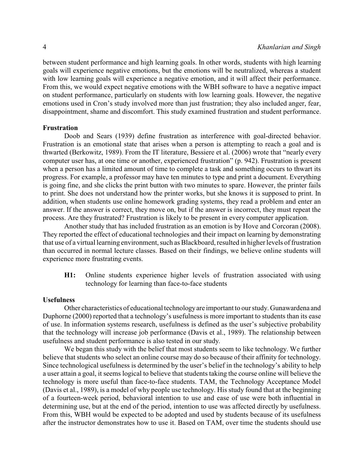between student performance and high learning goals. In other words, students with high learning goals will experience negative emotions, but the emotions will be neutralized, whereas a student with low learning goals will experience a negative emotion, and it will affect their performance. From this, we would expect negative emotions with the WBH software to have a negative impact on student performance, particularly on students with low learning goals. However, the negative emotions used in Cron's study involved more than just frustration; they also included anger, fear, disappointment, shame and discomfort. This study examined frustration and student performance.

#### **Frustration**

Doob and Sears (1939) define frustration as interference with goal-directed behavior. Frustration is an emotional state that arises when a person is attempting to reach a goal and is thwarted (Berkowitz, 1989). From the IT literature, Bessiere et al. (2006) wrote that "nearly every computer user has, at one time or another, experienced frustration" (p. 942). Frustration is present when a person has a limited amount of time to complete a task and something occurs to thwart its progress. For example, a professor may have ten minutes to type and print a document. Everything is going fine, and she clicks the print button with two minutes to spare. However, the printer fails to print. She does not understand how the printer works, but she knows it is supposed to print. In addition, when students use online homework grading systems, they read a problem and enter an answer. If the answer is correct, they move on, but if the answer is incorrect, they must repeat the process. Are they frustrated? Frustration is likely to be present in every computer application.

Another study that has included frustration as an emotion is by Hove and Corcoran (2008). They reported the effect of educational technologies and their impact on learning by demonstrating that use of a virtual learning environment, such as Blackboard, resulted in higher levels of frustration than occurred in normal lecture classes. Based on their findings, we believe online students will experience more frustrating events.

**H1:** Online students experience higher levels of frustration associated with using technology for learning than face-to-face students

#### **Usefulness**

Other characteristics of educational technologyare important to our study. Gunawardena and Duphorne (2000) reported that a technology's usefulness is more important to students than its ease of use. In information systems research, usefulness is defined as the user's subjective probability that the technology will increase job performance (Davis et al., 1989). The relationship between usefulness and student performance is also tested in our study.

We began this study with the belief that most students seem to like technology. We further believe that students who select an online course may do so because of their affinity for technology. Since technological usefulness is determined by the user's belief in the technology's ability to help a user attain a goal, it seems logical to believe that students taking the course online will believe the technology is more useful than face-to-face students. TAM, the Technology Acceptance Model (Davis et al., 1989), is a model of why people use technology. His study found that at the beginning of a fourteen-week period, behavioral intention to use and ease of use were both influential in determining use, but at the end of the period, intention to use was affected directly by usefulness. From this, WBH would be expected to be adopted and used by students because of its usefulness after the instructor demonstrates how to use it. Based on TAM, over time the students should use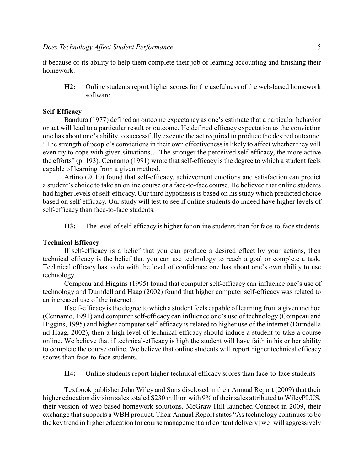it because of its ability to help them complete their job of learning accounting and finishing their homework.

**H2:** Online students report higher scores for the usefulness of the web-based homework software

#### **Self-Efficacy**

Bandura (1977) defined an outcome expectancy as one's estimate that a particular behavior or act will lead to a particular result or outcome. He defined efficacy expectation as the conviction one has about one's ability to successfully execute the act required to produce the desired outcome. "The strength of people's convictions in their own effectiveness is likely to affect whether they will even try to cope with given situations… The stronger the perceived self-efficacy, the more active the efforts" (p. 193). Cennamo (1991) wrote that self-efficacy is the degree to which a student feels capable of learning from a given method.

Artino (2010) found that self-efficacy, achievement emotions and satisfaction can predict a student's choice to take an online course or a face-to-face course. He believed that online students had higher levels of self-efficacy. Our third hypothesis is based on his study which predicted choice based on self-efficacy. Our study will test to see if online students do indeed have higher levels of self-efficacy than face-to-face students.

**H3:** The level of self-efficacy is higher for online students than for face-to-face students.

### **Technical Efficacy**

If self-efficacy is a belief that you can produce a desired effect by your actions, then technical efficacy is the belief that you can use technology to reach a goal or complete a task. Technical efficacy has to do with the level of confidence one has about one's own ability to use technology.

Compeau and Higgins (1995) found that computer self-efficacy can influence one's use of technology and Durndell and Haag (2002) found that higher computer self-efficacy was related to an increased use of the internet.

If self-efficacyis the degree to which a student feels capable of learning from a given method (Cennamo, 1991) and computer self-efficacy can influence one's use of technology (Compeau and Higgins, 1995) and higher computer self-efficacy is related to higher use of the internet (Durndella nd Haag, 2002), then a high level of technical-efficacy should induce a student to take a course online. We believe that if technical-efficacy is high the student will have faith in his or her ability to complete the course online. We believe that online students will report higher technical efficacy scores than face-to-face students.

**H4:** Online students report higher technical efficacy scores than face-to-face students

Textbook publisher John Wiley and Sons disclosed in their Annual Report (2009) that their higher education division sales totaled \$230 million with 9% of their sales attributed to WileyPLUS, their version of web-based homework solutions. McGraw-Hill launched Connect in 2009, their exchange that supports a WBH product. Their Annual Report states "As technology continues to be the key trend in higher education for course management and content delivery [we] will aggressively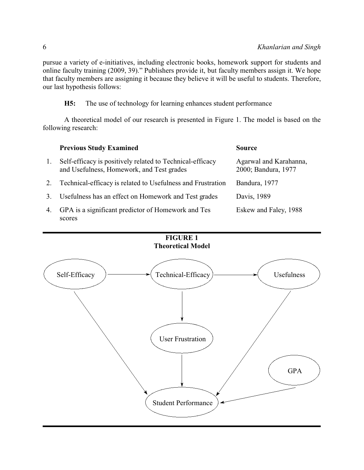pursue a variety of e-initiatives, including electronic books, homework support for students and online faculty training (2009, 39)." Publishers provide it, but faculty members assign it. We hope that faculty members are assigning it because they believe it will be useful to students. Therefore, our last hypothesis follows:

**H5:** The use of technology for learning enhances student performance

A theoretical model of our research is presented in Figure 1. The model is based on the following research:

|    | <b>Previous Study Examined</b>                                                                         | <b>Source</b>                                 |
|----|--------------------------------------------------------------------------------------------------------|-----------------------------------------------|
| 1. | Self-efficacy is positively related to Technical-efficacy<br>and Usefulness, Homework, and Test grades | Agarwal and Karahanna,<br>2000; Bandura, 1977 |
| 2. | Technical-efficacy is related to Usefulness and Frustration                                            | Bandura, 1977                                 |
| 3. | Usefulness has an effect on Homework and Test grades                                                   | Davis, 1989                                   |
| 4. | GPA is a significant predictor of Homework and Tes                                                     | Eskew and Faley, 1988                         |

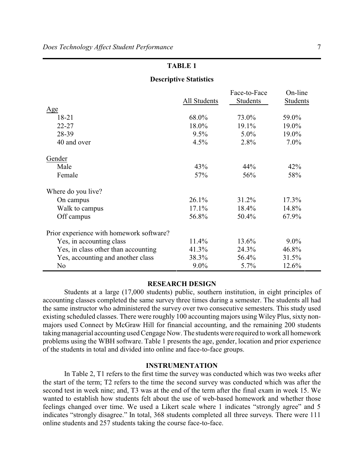#### **Descriptive Statistics**

|                                          |              | Face-to-Face | On-line  |
|------------------------------------------|--------------|--------------|----------|
|                                          | All Students | Students     | Students |
| Age                                      |              |              |          |
| 18-21                                    | 68.0%        | 73.0%        | 59.0%    |
| $22 - 27$                                | 18.0%        | $19.1\%$     | 19.0%    |
| 28-39                                    | $9.5\%$      | $5.0\%$      | 19.0%    |
| 40 and over                              | 4.5%         | 2.8%         | $7.0\%$  |
| Gender                                   |              |              |          |
| Male                                     | 43%          | 44%          | 42%      |
| Female                                   | 57%          | 56%          | 58%      |
| Where do you live?                       |              |              |          |
| On campus                                | 26.1%        | 31.2%        | $17.3\%$ |
| Walk to campus                           | $17.1\%$     | 18.4%        | 14.8%    |
| Off campus                               | 56.8%        | 50.4%        | 67.9%    |
| Prior experience with homework software? |              |              |          |
| Yes, in accounting class                 | 11.4%        | 13.6%        | $9.0\%$  |
| Yes, in class other than accounting      | 41.3%        | 24.3%        | 46.8%    |
| Yes, accounting and another class        | 38.3%        | 56.4%        | 31.5%    |
| No                                       | $9.0\%$      | 5.7%         | 12.6%    |

#### **RESEARCH DESIGN**

Students at a large (17,000 students) public, southern institution, in eight principles of accounting classes completed the same survey three times during a semester. The students all had the same instructor who administered the survey over two consecutive semesters. This study used existing scheduled classes. There were roughly 100 accounting majors using Wiley Plus, sixty nonmajors used Connect by McGraw Hill for financial accounting, and the remaining 200 students taking managerial accounting used Cengage Now. The students were required to work all homework problems using the WBH software. Table 1 presents the age, gender, location and prior experience of the students in total and divided into online and face-to-face groups.

### **INSTRUMENTATION**

In Table 2, T1 refers to the first time the survey was conducted which was two weeks after the start of the term; T2 refers to the time the second survey was conducted which was after the second test in week nine; and, T3 was at the end of the term after the final exam in week 15. We wanted to establish how students felt about the use of web-based homework and whether those feelings changed over time. We used a Likert scale where 1 indicates "strongly agree" and 5 indicates "strongly disagree." In total, 368 students completed all three surveys. There were 111 online students and 257 students taking the course face-to-face.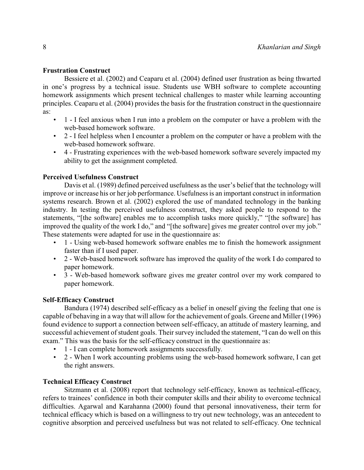#### **Frustration Construct**

Bessiere et al. (2002) and Ceaparu et al. (2004) defined user frustration as being thwarted in one's progress by a technical issue. Students use WBH software to complete accounting homework assignments which present technical challenges to master while learning accounting principles. Ceaparu et al. (2004) provides the basis for the frustration construct in the questionnaire as:

- 1 I feel anxious when I run into a problem on the computer or have a problem with the web-based homework software.
- 2 I feel helpless when I encounter a problem on the computer or have a problem with the web-based homework software.
- 4 Frustrating experiences with the web-based homework software severely impacted my ability to get the assignment completed.

## **Perceived Usefulness Construct**

Davis et al. (1989) defined perceived usefulness as the user's belief that the technology will improve or increase his or her job performance. Usefulness is an important construct in information systems research. Brown et al. (2002) explored the use of mandated technology in the banking industry. In testing the perceived usefulness construct, they asked people to respond to the statements, "[the software] enables me to accomplish tasks more quickly," "[the software] has improved the quality of the work I do," and "[the software] gives me greater control over my job." These statements were adapted for use in the questionnaire as:

- 1 Using web-based homework software enables me to finish the homework assignment faster than if I used paper.
- 2 Web-based homework software has improved the quality of the work I do compared to paper homework.
- 3 Web-based homework software gives me greater control over my work compared to paper homework.

## **Self-Efficacy Construct**

Bandura (1974) described self-efficacy as a belief in oneself giving the feeling that one is capable of behaving in a way that will allow for the achievement of goals. Greene and Miller (1996) found evidence to support a connection between self-efficacy, an attitude of mastery learning, and successful achievement of student goals. Their survey included the statement, "I can do well on this exam." This was the basis for the self-efficacy construct in the questionnaire as:

- 1 I can complete homework assignments successfully.
- 2 When I work accounting problems using the web-based homework software, I can get the right answers.

## **Technical Efficacy Construct**

Sitzmann et al. (2008) report that technology self-efficacy, known as technical-efficacy, refers to trainees' confidence in both their computer skills and their ability to overcome technical difficulties. Agarwal and Karahanna (2000) found that personal innovativeness, their term for technical efficacy which is based on a willingness to try out new technology, was an antecedent to cognitive absorption and perceived usefulness but was not related to self-efficacy. One technical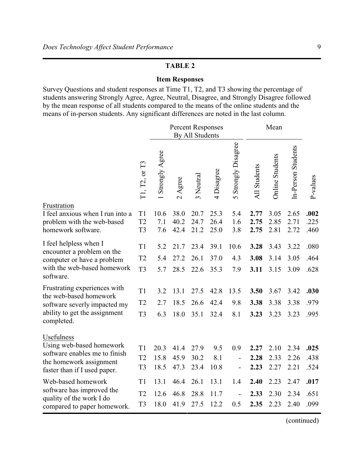## **Item Responses**

Survey Questions and student responses at Time T1, T2, and T3 showing the percentage of students answering Strongly Agree, Agree, Neutral, Disagree, and Strongly Disagree followed by the mean response of all students compared to the means of the online students and the means of in-person students. Any significant differences are noted in the last column.

|                                                                                                                                       |                                                    | <b>Percent Responses</b><br>By All Students |                                                          |                      |                      |                                     | Mean                 |                        |                      |                      |
|---------------------------------------------------------------------------------------------------------------------------------------|----------------------------------------------------|---------------------------------------------|----------------------------------------------------------|----------------------|----------------------|-------------------------------------|----------------------|------------------------|----------------------|----------------------|
|                                                                                                                                       | T1, T2, or T3                                      | Strongly Agree                              | gree<br>$\blacktriangleleft$<br>$\overline{\mathcal{C}}$ | 3 Neutral            | Disagree<br>4        | Strongly Disagree<br>$\overline{C}$ | <b>All Students</b>  | <b>Online Students</b> | In-Person Students   | P-values             |
| Frustration<br>I feel anxious when I run into a<br>problem with the web-based<br>homework software.                                   | T <sub>1</sub><br>T <sub>2</sub><br>T <sub>3</sub> | 10.6<br>7.1<br>7.6                          | 38.0<br>40.2<br>42.4                                     | 20.7<br>24.7<br>21.2 | 25.3<br>26.4<br>25.0 | 5.4<br>1.6<br>3.8                   | 2.77<br>2.75<br>2.75 | 3.05<br>2.85<br>2.81   | 2.65<br>2.71<br>2.72 | .002<br>.225<br>.460 |
| I feel helpless when I<br>encounter a problem on the<br>computer or have a problem<br>with the web-based homework<br>software.        | T1<br>T <sub>2</sub><br>T <sub>3</sub>             | 5.2<br>5.4<br>5.7                           | 21.7<br>27.2<br>28.5                                     | 23.4<br>26.1<br>22.6 | 39.1<br>37.0<br>35.3 | 10.6<br>4.3<br>7.9                  | 3.28<br>3.08<br>3.11 | 3.43<br>3.14<br>3.15   | 3.22<br>3.05<br>3.09 | .080<br>.464<br>.628 |
| Frustrating experiences with<br>the web-based homework<br>software severly impacted my<br>ability to get the assignment<br>completed. | T1<br>T2<br>T <sub>3</sub>                         | 3.2<br>2.7<br>6.3                           | 13.1<br>18.5<br>18.0                                     | 27.5<br>26.6<br>35.1 | 42.8<br>42.4<br>32.4 | 13.5<br>9.8<br>8.1                  | 3.50<br>3.38<br>3.23 | 3.67<br>3.38<br>3.23   | 3.42<br>3.38<br>3.23 | .030<br>.979<br>.995 |
| Usefulness<br>Using web-based homework<br>software enables me to finish<br>the homework assignment<br>faster than if I used paper.    | T1<br>T <sub>2</sub><br>T <sub>3</sub>             | 20.3<br>15.8<br>18.5                        | 41.4<br>45.9<br>47.3                                     | 27.9<br>30.2<br>23.4 | 9.5<br>8.1<br>10.8   | 0.9<br>$\overline{\phantom{0}}$     | 2.27<br>2.28<br>2.23 | 2.10<br>2.33<br>2.27   | 2.34<br>2.26<br>2.21 | .025<br>.438<br>.524 |
| Web-based homework<br>software has improved the<br>quality of the work I do<br>compared to paper homework.                            | T1<br>T <sub>2</sub><br>T <sub>3</sub>             | 13.1<br>12.6<br>18.0                        | 46.4<br>46.8<br>41.9                                     | 26.1<br>28.8<br>27.5 | 13.1<br>11.7<br>12.2 | 1.4<br>0.5                          | 2.40<br>2.33<br>2.35 | 2.23<br>2.30<br>2.23   | 2.47<br>2.34<br>2.40 | .017<br>.651<br>.099 |

(continued)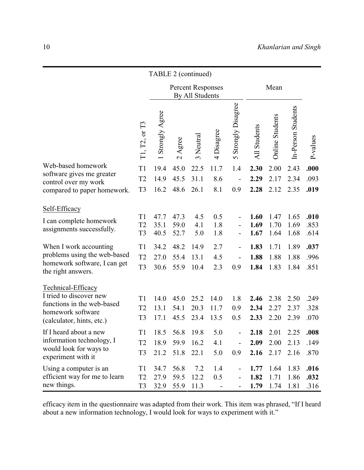|                                                                                                                                                                                       | TABLE 2 (continued)                                                                                      |                                              |                                                          |                                           |                                        |                                                      |                                              |                                              |                                              |                                              |  |
|---------------------------------------------------------------------------------------------------------------------------------------------------------------------------------------|----------------------------------------------------------------------------------------------------------|----------------------------------------------|----------------------------------------------------------|-------------------------------------------|----------------------------------------|------------------------------------------------------|----------------------------------------------|----------------------------------------------|----------------------------------------------|----------------------------------------------|--|
|                                                                                                                                                                                       |                                                                                                          | <b>Percent Responses</b><br>By All Students  |                                                          |                                           |                                        |                                                      |                                              | Mean                                         |                                              |                                              |  |
|                                                                                                                                                                                       | T1, T2, or T3                                                                                            | Strongly Agree                               | gree<br>$\blacktriangleleft$<br>$\overline{\mathcal{C}}$ | 3 Neutral                                 | Disagree<br>4                          | Strongly Disagree<br>$\sigma$                        | All Students                                 | <b>Online Students</b>                       | In-Person Students                           | P-values                                     |  |
| Web-based homework<br>software gives me greater                                                                                                                                       | T <sub>1</sub>                                                                                           | 19.4                                         | 45.0                                                     | 22.5                                      | 11.7                                   | 1.4                                                  | 2.30                                         | 2.00                                         | 2.43                                         | .000                                         |  |
| control over my work                                                                                                                                                                  | T <sub>2</sub>                                                                                           | 14.9                                         | 45.5                                                     | 31.1                                      | 8.6                                    |                                                      | 2.29                                         | 2.17                                         | 2.34                                         | .093                                         |  |
| compared to paper homework.                                                                                                                                                           | T <sub>3</sub>                                                                                           | 16.2                                         | 48.6                                                     | 26.1                                      | 8.1                                    | 0.9                                                  | 2.28                                         | 2.12                                         | 2.35                                         | .019                                         |  |
| Self-Efficacy<br>I can complete homework<br>assignments successfully.<br>When I work accounting<br>problems using the web-based<br>homework software, I can get<br>the right answers. | T <sub>1</sub><br>T <sub>2</sub><br>T <sub>3</sub><br>T <sub>1</sub><br>T <sub>2</sub><br>T <sub>3</sub> | 47.7<br>35.1<br>40.5<br>34.2<br>27.0<br>30.6 | 47.3<br>59.0<br>52.7<br>48.2<br>55.4<br>55.9             | 4.5<br>4.1<br>5.0<br>14.9<br>13.1<br>10.4 | 0.5<br>1.8<br>1.8<br>2.7<br>4.5<br>2.3 | $\qquad \qquad -$<br>$\overline{\phantom{0}}$<br>0.9 | 1.60<br>1.69<br>1.67<br>1.83<br>1.88<br>1.84 | 1.47<br>1.70<br>1.64<br>1.71<br>1.88<br>1.83 | 1.65<br>1.69<br>1.68<br>1.89<br>1.88<br>1.84 | .010<br>.853<br>.614<br>.037<br>.996<br>.851 |  |
| Technical-Efficacy<br>I tried to discover new<br>functions in the web-based<br>homework software<br>(calculator, hints, etc.)                                                         | T <sub>1</sub><br>T <sub>2</sub><br>T <sub>3</sub>                                                       | 14.0<br>13.1<br>17.1                         | 45.0<br>54.1<br>45.5                                     | 25.2<br>20.3<br>23.4                      | 14.0<br>11.7<br>13.5                   | 1.8<br>0.9<br>0.5                                    | 2.46<br>2.34<br>2.33                         | 2.38<br>2.27<br>2.20                         | 2.50<br>2.37<br>2.39                         | .249<br>.328<br>.070                         |  |
| If I heard about a new<br>information technology, I<br>would look for ways to<br>experiment with it                                                                                   | T1<br>T <sub>2</sub><br>T <sub>3</sub>                                                                   | 18.9<br>21.2                                 | 18.5 56.8 19.8<br>59.9<br>51.8                           | 16.2<br>22.1                              | 5.0<br>4.1<br>5.0                      | $\qquad \qquad \blacksquare$<br>0.9                  | 2.18<br>2.09<br>2.16                         | 2.01<br>2.00<br>2.17                         | 2.25<br>2.13<br>2.16                         | .008<br>.149<br>.870                         |  |
| Using a computer is an<br>efficient way for me to learn<br>new things.                                                                                                                | T1<br>T <sub>2</sub><br>T <sub>3</sub>                                                                   | 34.7<br>27.9<br>32.9                         | 56.8<br>59.5<br>55.9                                     | 7.2<br>12.2<br>11.3                       | 1.4<br>0.5                             |                                                      | 1.77<br>1.82<br>1.79                         | 1.64<br>1.71<br>1.74                         | 1.83<br>1.86<br>1.81                         | .016<br>.032<br>.316                         |  |

efficacy item in the questionnaire was adapted from their work. This item was phrased, "If I heard about a new information technology, I would look for ways to experiment with it."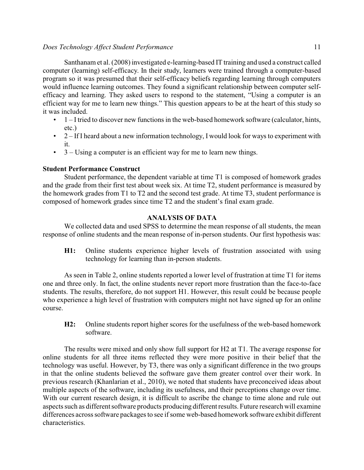#### *Does Technology Affect Student Performance* 11

Santhanam et al. (2008) investigated e-learning-based IT training and used a construct called computer (learning) self-efficacy. In their study, learners were trained through a computer-based program so it was presumed that their self-efficacy beliefs regarding learning through computers would influence learning outcomes. They found a significant relationship between computer selfefficacy and learning. They asked users to respond to the statement, "Using a computer is an efficient way for me to learn new things." This question appears to be at the heart of this study so it was included.

- $\cdot$  1 I tried to discover new functions in the web-based homework software (calculator, hints, etc.)
- $\cdot$  2 If I heard about a new information technology, I would look for ways to experiment with it.
- 3 Using a computer is an efficient way for me to learn new things.

## **Student Performance Construct**

Student performance, the dependent variable at time T1 is composed of homework grades and the grade from their first test about week six. At time T2, student performance is measured by the homework grades from T1 to T2 and the second test grade. At time T3, student performance is composed of homework grades since time T2 and the student's final exam grade.

## **ANALYSIS OF DATA**

We collected data and used SPSS to determine the mean response of all students, the mean response of online students and the mean response of in-person students. Our first hypothesis was:

**H1:** Online students experience higher levels of frustration associated with using technology for learning than in-person students.

As seen in Table 2, online students reported a lower level of frustration at time T1 for items one and three only. In fact, the online students never report more frustration than the face-to-face students. The results, therefore, do not support H1. However, this result could be because people who experience a high level of frustration with computers might not have signed up for an online course.

**H2:** Online students report higher scores for the usefulness of the web-based homework software.

The results were mixed and only show full support for H2 at T1. The average response for online students for all three items reflected they were more positive in their belief that the technology was useful. However, by T3, there was only a significant difference in the two groups in that the online students believed the software gave them greater control over their work. In previous research (Khanlarian et al., 2010), we noted that students have preconceived ideas about multiple aspects of the software, including its usefulness, and their perceptions change over time. With our current research design, it is difficult to ascribe the change to time alone and rule out aspects such as different software products producing different results. Future research will examine differences across software packages to see if some web-based homework software exhibit different characteristics.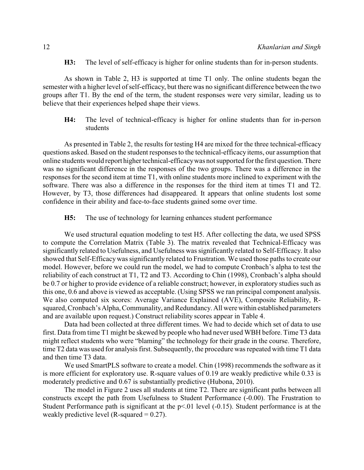**H3:** The level of self-efficacy is higher for online students than for in-person students.

As shown in Table 2, H3 is supported at time T1 only. The online students began the semester with a higher level of self-efficacy, but there was no significant difference between the two groups after T1. By the end of the term, the student responses were very similar, leading us to believe that their experiences helped shape their views.

**H4:** The level of technical-efficacy is higher for online students than for in-person students

As presented in Table 2, the results for testing H4 are mixed for the three technical-efficacy questions asked. Based on the student responses to the technical-efficacyitems, our assumption that online students would report higher technical-efficacywas not supported for the first question. There was no significant difference in the responses of the two groups. There was a difference in the responses for the second item at time T1, with online students more inclined to experiment with the software. There was also a difference in the responses for the third item at times T1 and T2. However, by T3, those differences had disappeared. It appears that online students lost some confidence in their ability and face-to-face students gained some over time.

**H5:** The use of technology for learning enhances student performance

We used structural equation modeling to test H5. After collecting the data, we used SPSS to compute the Correlation Matrix (Table 3). The matrix revealed that Technical-Efficacy was significantly related to Usefulness, and Usefulness was significantly related to Self-Efficacy. It also showed that Self-Efficacywas significantly related to Frustration. We used those paths to create our model. However, before we could run the model, we had to compute Cronbach's alpha to test the reliability of each construct at T1, T2 and T3. According to Chin (1998), Cronbach's alpha should be 0.7 or higher to provide evidence of a reliable construct; however, in exploratory studies such as this one, 0.6 and above is viewed as acceptable. (Using SPSS we ran principal component analysis. We also computed six scores: Average Variance Explained (AVE), Composite Reliability, Rsquared, Cronbach's Alpha, Communality, and Redundancy. All were within established parameters and are available upon request.) Construct reliability scores appear in Table 4.

Data had been collected at three different times. We had to decide which set of data to use first. Data from time T1 might be skewed by people who had never used WBH before. Time T3 data might reflect students who were "blaming" the technology for their grade in the course. Therefore, time T2 data was used for analysis first. Subsequently, the procedure was repeated with time T1 data and then time T3 data.

We used SmartPLS software to create a model. Chin (1998) recommends the software as it is more efficient for exploratory use. R-square values of 0.19 are weakly predictive while 0.33 is moderately predictive and 0.67 is substantially predictive (Hubona, 2010).

The model in Figure 2 uses all students at time T2. There are significant paths between all constructs except the path from Usefulness to Student Performance (-0.00). The Frustration to Student Performance path is significant at the  $p<01$  level (-0.15). Student performance is at the weakly predictive level (R-squared  $= 0.27$ ).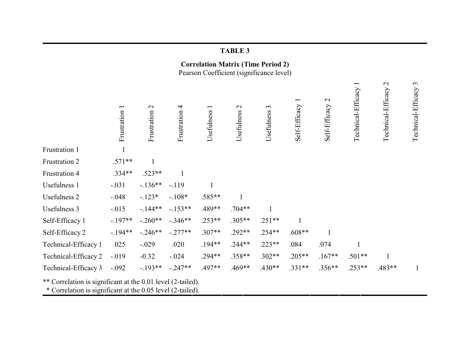|                                                                                                                           |               |                              |               |                                        | <b>TABLE 3</b>             |                          |               |                               |                                                |                                    |                                      |
|---------------------------------------------------------------------------------------------------------------------------|---------------|------------------------------|---------------|----------------------------------------|----------------------------|--------------------------|---------------|-------------------------------|------------------------------------------------|------------------------------------|--------------------------------------|
| <b>Correlation Matrix (Time Period 2)</b><br>Pearson Coefficient (significance level)                                     |               |                              |               |                                        |                            |                          |               |                               |                                                |                                    |                                      |
|                                                                                                                           | Frustration 1 | $\mathcal{L}$<br>Frustration | Frustration 4 | $\overline{\phantom{0}}$<br>Usefulness | $\mathbf{C}$<br>Usefulness | $\epsilon$<br>Usefulness | Self-Efficacy | $\mathbf{C}$<br>Self-Efficacy | $\overline{\phantom{0}}$<br>Technical-Efficacy | $\mathbf{C}$<br>Technical-Efficacy | $\mathfrak{c}$<br>Technical-Efficacy |
| Frustration 1                                                                                                             |               |                              |               |                                        |                            |                          |               |                               |                                                |                                    |                                      |
| Frustration 2                                                                                                             | $.571**$      | $\mathbf{1}$                 |               |                                        |                            |                          |               |                               |                                                |                                    |                                      |
| Frustration 4                                                                                                             | .334**        | $.523**$                     | $\mathbf{1}$  |                                        |                            |                          |               |                               |                                                |                                    |                                      |
| Usefulness 1                                                                                                              | $-.031$       | $-.136**$                    | $-.119$       | $\mathbf{1}$                           |                            |                          |               |                               |                                                |                                    |                                      |
| <b>Usefulness 2</b>                                                                                                       | $-.048$       | $-.123*$                     | $-.108*$      | $.585**$                               | 1                          |                          |               |                               |                                                |                                    |                                      |
| Usefulness 3                                                                                                              | $-.015$       | $-144**$                     | $-153**$      | .489**                                 | $.704**$                   |                          |               |                               |                                                |                                    |                                      |
| Self-Efficacy 1                                                                                                           | $-.197**$     | $-.260**$                    | $-.346**$     | $.253**$                               | $.305**$                   | $.251**$                 | $\mathbf{1}$  |                               |                                                |                                    |                                      |
| Self-Efficacy 2                                                                                                           | $-194**$      | $-.246**$                    | $-.277**$     | $.307**$                               | $.292**$                   | $.254**$                 | $.608**$      | $\mathbf{1}$                  |                                                |                                    |                                      |
| Technical-Efficacy 1                                                                                                      | .025          | $-.029$                      | .020          | .194**                                 | $.244**$                   | $.223**$                 | .084          | .074                          | $\mathbf{1}$                                   |                                    |                                      |
| Technical-Efficacy 2                                                                                                      | $-.019$       | $-0.32$                      | $-.024$       | .294**                                 | .358**                     | $.302**$                 | $.205**$      | $.167**$                      | $.501**$                                       |                                    |                                      |
| Technical-Efficacy 3                                                                                                      | $-.092$       | $-193**$                     | $-.247**$     | .497**                                 | .469**                     | .430**                   | $.331**$      | .356**                        | $.253**$                                       | .483**                             | 1                                    |
| ** Correlation is significant at the 0.01 level (2-tailed).<br>* Correlation is significant at the 0.05 level (2-tailed). |               |                              |               |                                        |                            |                          |               |                               |                                                |                                    |                                      |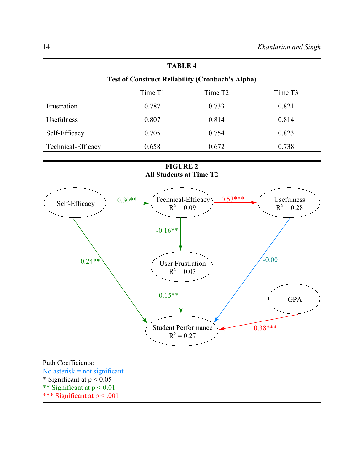## **Test of Construct Reliability (Cronbach's Alpha)**

|                    | Time T1 | Time T <sub>2</sub> | Time T <sub>3</sub> |
|--------------------|---------|---------------------|---------------------|
| Frustration        | 0.787   | 0.733               | 0.821               |
| Usefulness         | 0.807   | 0.814               | 0.814               |
| Self-Efficacy      | 0.705   | 0.754               | 0.823               |
| Technical-Efficacy | 0.658   | 0.672               | 0.738               |

## **FIGURE 2 All Students at Time T2**

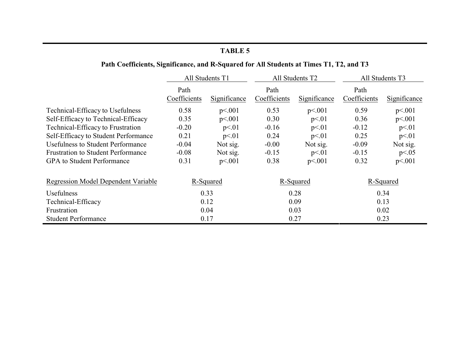# **Path Coefficients, Significance, and R-Squared for All Students at Times T1, T2, and T3**

|                                            | All Students T1      |              |                      | All Students T2 | All Students T3      |              |  |
|--------------------------------------------|----------------------|--------------|----------------------|-----------------|----------------------|--------------|--|
|                                            | Path<br>Coefficients | Significance | Path<br>Coefficients | Significance    | Path<br>Coefficients | Significance |  |
| Technical-Efficacy to Usefulness           | 0.58                 | p<.001       | 0.53                 | p<.001          | 0.59                 | p<.001       |  |
| Self-Efficacy to Technical-Efficacy        | 0.35                 | p<.001       | 0.30                 | p<01            | 0.36                 | p<.001       |  |
| Technical-Efficacy to Frustration          | $-0.20$              | p<.01        | $-0.16$              | p<.01           | $-0.12$              | p<01         |  |
| Self-Efficacy to Student Performance       | 0.21                 | p<.01        | 0.24                 | p<.01           | 0.25                 | p<.01        |  |
| <b>Usefulness to Student Performance</b>   | $-0.04$              | Not sig.     | $-0.00$              | Not sig.        | $-0.09$              | Not sig.     |  |
| <b>Frustration to Student Performance</b>  | $-0.08$              | Not sig.     | $-0.15$              | p<01            | $-0.15$              | p<0.05       |  |
| <b>GPA</b> to Student Performance          | 0.31                 | p<.001       | 0.38                 | p<.001          | 0.32                 | p<.001       |  |
| <b>Regression Model Dependent Variable</b> | R-Squared            |              | R-Squared            |                 | R-Squared            |              |  |
| Usefulness                                 |                      | 0.33         | 0.28                 |                 | 0.34                 |              |  |
| Technical-Efficacy                         | 0.12                 |              | 0.09                 |                 |                      | 0.13         |  |
| Frustration                                | 0.04                 |              | 0.03                 |                 | 0.02                 |              |  |
| <b>Student Performance</b>                 |                      | 0.17         |                      | 0.27            | 0.23                 |              |  |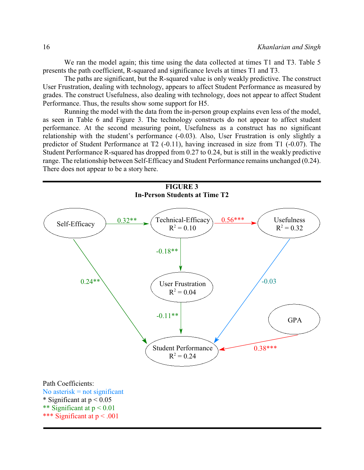We ran the model again; this time using the data collected at times T1 and T3. Table 5 presents the path coefficient, R-squared and significance levels at times T1 and T3.

The paths are significant, but the R-squared value is only weakly predictive. The construct User Frustration, dealing with technology, appears to affect Student Performance as measured by grades. The construct Usefulness, also dealing with technology, does not appear to affect Student Performance. Thus, the results show some support for H5.

Running the model with the data from the in-person group explains even less of the model, as seen in Table 6 and Figure 3. The technology constructs do not appear to affect student performance. At the second measuring point, Usefulness as a construct has no significant relationship with the student's performance (-0.03). Also, User Frustration is only slightly a predictor of Student Performance at T2 (-0.11), having increased in size from T1 (-0.07). The Student Performance R-squared has dropped from 0.27 to 0.24, but is still in the weakly predictive range. The relationship between Self-Efficacy and Student Performance remains unchanged (0.24). There does not appear to be a story here.

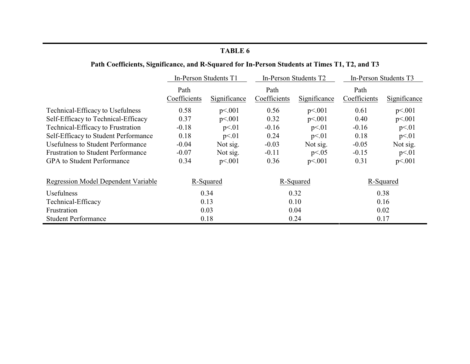# **Path Coefficients, Significance, and R-Squared for In-Person Students at Times T1, T2, and T3**

|                                            | In-Person Students T1 |              |                      | In-Person Students T2 | In-Person Students T3 |              |  |
|--------------------------------------------|-----------------------|--------------|----------------------|-----------------------|-----------------------|--------------|--|
|                                            | Path<br>Coefficients  | Significance | Path<br>Coefficients | Significance          | Path<br>Coefficients  | Significance |  |
| Technical-Efficacy to Usefulness           | 0.58                  | p<.001       | 0.56                 | p<.001                | 0.61                  | p<.001       |  |
| Self-Efficacy to Technical-Efficacy        | 0.37                  | p<.001       | 0.32                 | p<.001                | 0.40                  | p<.001       |  |
| Technical-Efficacy to Frustration          | $-0.18$               | p<.01        | $-0.16$              | p<.01                 | $-0.16$               | p<.01        |  |
| Self-Efficacy to Student Performance       | 0.18                  | p<01         | 0.24                 | p<.01                 | 0.18                  | p<01         |  |
| <b>Usefulness to Student Performance</b>   | $-0.04$               | Not sig.     | $-0.03$              | Not sig.              | $-0.05$               | Not sig.     |  |
| <b>Frustration to Student Performance</b>  | $-0.07$               | Not sig.     | $-0.11$              | p<0.05                | $-0.15$               | p<01         |  |
| GPA to Student Performance                 | 0.34                  | p<.001       | 0.36                 | p<.001                | 0.31                  | p<.001       |  |
| <b>Regression Model Dependent Variable</b> | R-Squared             |              | R-Squared            |                       | R-Squared             |              |  |
| Usefulness                                 | 0.34                  |              | 0.32                 |                       | 0.38                  |              |  |
| Technical-Efficacy                         | 0.13                  |              | 0.10                 |                       | 0.16                  |              |  |
| Frustration                                | 0.03                  |              | 0.04                 |                       | 0.02                  |              |  |
| <b>Student Performance</b>                 |                       | 0.18         |                      | 0.24                  | 0.17                  |              |  |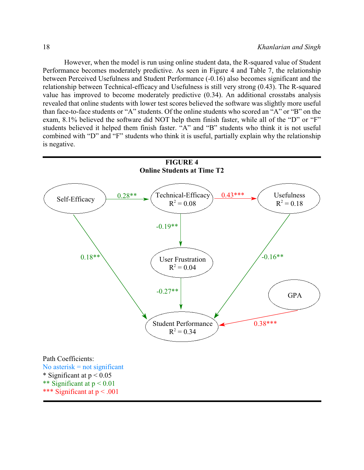However, when the model is run using online student data, the R-squared value of Student Performance becomes moderately predictive. As seen in Figure 4 and Table 7, the relationship between Perceived Usefulness and Student Performance (-0.16) also becomes significant and the relationship between Technical-efficacy and Usefulness is still very strong (0.43). The R-squared value has improved to become moderately predictive (0.34). An additional crosstabs analysis revealed that online students with lower test scores believed the software was slightly more useful than face-to-face students or "A" students. Of the online students who scored an "A" or "B" on the exam, 8.1% believed the software did NOT help them finish faster, while all of the "D" or "F" students believed it helped them finish faster. "A" and "B" students who think it is not useful combined with "D" and "F" students who think it is useful, partially explain why the relationship is negative.

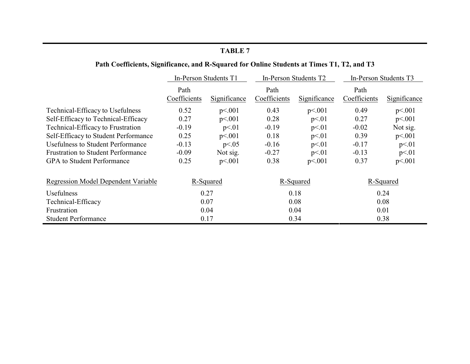# **Path Coefficients, Significance, and R-Squared for Online Students at Times T1, T2, and T3**

|                                                         | In-Person Students T1 |              |                      | In-Person Students T2 | In-Person Students T3 |              |  |
|---------------------------------------------------------|-----------------------|--------------|----------------------|-----------------------|-----------------------|--------------|--|
|                                                         | Path<br>Coefficients  | Significance | Path<br>Coefficients | Significance          | Path<br>Coefficients  | Significance |  |
| Technical-Efficacy to Usefulness                        | 0.52                  | p<.001       | 0.43                 | p<.001                | 0.49                  | p<.001       |  |
| Self-Efficacy to Technical-Efficacy                     | 0.27                  | p<.001       | 0.28                 | p<01                  | 0.27                  | p<.001       |  |
| Technical-Efficacy to Frustration                       | $-0.19$               | p<.01        | $-0.19$              | p<01                  | $-0.02$               | Not sig.     |  |
| Self-Efficacy to Student Performance                    | 0.25                  | p<.001       | 0.18                 | p<01                  | 0.39                  | p<.001       |  |
| <b>Usefulness to Student Performance</b>                | $-0.13$               | p<0.05       | $-0.16$              | p<01                  | $-0.17$               | p<.01        |  |
| <b>Frustration to Student Performance</b>               | $-0.09$               | Not sig.     | $-0.27$              | p<01                  | $-0.13$               | p<01         |  |
| <b>GPA</b> to Student Performance                       | 0.25                  | p<.001       | 0.38                 | p<.001                | 0.37                  | p<.001       |  |
| <b>Regression Model Dependent Variable</b><br>R-Squared |                       |              | R-Squared            |                       | R-Squared             |              |  |
| Usefulness                                              |                       | 0.27         | 0.18                 |                       | 0.24                  |              |  |
| Technical-Efficacy                                      |                       | 0.07         | 0.08                 |                       | 0.08                  |              |  |
| Frustration                                             | 0.04                  |              | 0.04                 |                       | 0.01                  |              |  |
| <b>Student Performance</b>                              |                       | 0.17         |                      | 0.34                  | 0.38                  |              |  |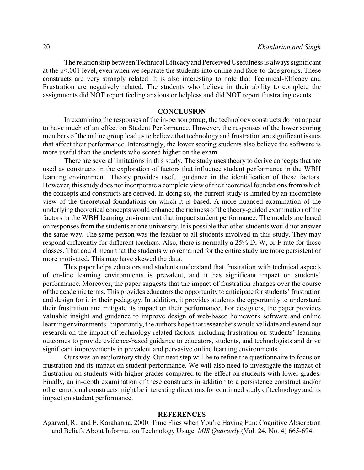The relationship between Technical Efficacy and Perceived Usefulness is always significant at the p<.001 level, even when we separate the students into online and face-to-face groups. These constructs are very strongly related. It is also interesting to note that Technical-Efficacy and Frustration are negatively related. The students who believe in their ability to complete the assignments did NOT report feeling anxious or helpless and did NOT report frustrating events.

#### **CONCLUSION**

In examining the responses of the in-person group, the technology constructs do not appear to have much of an effect on Student Performance. However, the responses of the lower scoring members of the online group lead us to believe that technology and frustration are significant issues that affect their performance. Interestingly, the lower scoring students also believe the software is more useful than the students who scored higher on the exam.

There are several limitations in this study. The study uses theory to derive concepts that are used as constructs in the exploration of factors that influence student performance in the WBH learning environment. Theory provides useful guidance in the identification of these factors. However, this study does not incorporate a complete view of the theoretical foundations from which the concepts and constructs are derived. In doing so, the current study is limited by an incomplete view of the theoretical foundations on which it is based. A more nuanced examination of the underlying theoretical concepts would enhance the richness of the theory-guided examination of the factors in the WBH learning environment that impact student performance. The models are based on responses from the students at one university. It is possible that other students would not answer the same way. The same person was the teacher to all students involved in this study. They may respond differently for different teachers. Also, there is normally a 25% D, W, or F rate for these classes. That could mean that the students who remained for the entire study are more persistent or more motivated. This may have skewed the data.

This paper helps educators and students understand that frustration with technical aspects of on-line learning environments is prevalent, and it has significant impact on students' performance. Moreover, the paper suggests that the impact of frustration changes over the course of the academic terms. This provides educators the opportunity to anticipate for students' frustration and design for it in their pedagogy. In addition, it provides students the opportunity to understand their frustration and mitigate its impact on their performance. For designers, the paper provides valuable insight and guidance to improve design of web-based homework software and online learning environments. Importantly, the authors hope that researchers would validate and extend our research on the impact of technology related factors, including frustration on students' learning outcomes to provide evidence-based guidance to educators, students, and technologists and drive significant improvements in prevalent and pervasive online learning environments.

Ours was an exploratory study. Our next step will be to refine the questionnaire to focus on frustration and its impact on student performance. We will also need to investigate the impact of frustration on students with higher grades compared to the effect on students with lower grades. Finally, an in-depth examination of these constructs in addition to a persistence construct and/or other emotional constructs might be interesting directions for continued study of technology and its impact on student performance.

#### **REFERENCES**

Agarwal, R., and E. Karahanna. 2000. Time Flies when You're Having Fun: Cognitive Absorption and Beliefs About Information Technology Usage. *MIS Quarterly* (Vol. 24, No. 4) 665-694.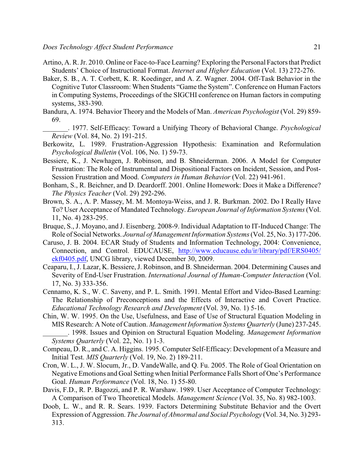- Artino, A. R. Jr. 2010. Online or Face-to-Face Learning? Exploring the Personal Factors that Predict Students' Choice of Instructional Format. *Internet and Higher Education* (Vol. 13) 272-276.
- Baker, S. B., A. T. Corbett, K. R. Koedinger, and A. Z. Wagner. 2004. Off-Task Behavior in the Cognitive Tutor Classroom: When Students "Game the System". Conference on Human Factors in Computing Systems, Proceedings of the SIGCHI conference on Human factors in computing systems, 383-390.
- Bandura, A. 1974. Behavior Theory and the Models of Man. *American Psychologist* (Vol. 29) 859- 69.
- \_\_\_\_\_\_\_. 1977. Self-Efficacy: Toward a Unifying Theory of Behavioral Change. *Psychological Review* (Vol. 84, No. 2) 191-215.
- Berkowitz, L. 1989. Frustration-Aggression Hypothesis: Examination and Reformulation *Psychological Bulletin* (Vol. 106, No. 1) 59-73.
- Bessiere, K., J. Newhagen, J. Robinson, and B. Shneiderman. 2006. A Model for Computer Frustration: The Role of Instrumental and Dispositional Factors on Incident, Session, and Post-Session Frustration and Mood. *Computers in Human Behavior* (Vol. 22) 941-961.
- Bonham, S., R. Beichner, and D. Deardorff. 2001. Online Homework: Does it Make a Difference? *The Physics Teacher* (Vol. 29) 292-296.
- Brown, S. A., A. P. Massey, M. M. Montoya-Weiss, and J. R. Burkman. 2002. Do I Really Have To? User Acceptance of Mandated Technology. *European Journal of Information Systems* (Vol. 11, No. 4) 283-295.
- Bruque, S., J. Moyano, and J. Eisenberg. 2008-9. Individual Adaptation to IT-Induced Change: The Role of Social Networks. *Journal of Management Information Systems*(Vol. 25, No. 3) 177-206.
- Caruso, J. B. 2004. ECAR Study of Students and Information Technology, 2004: Convenience, Connection, and Control. EDUCAUSE, [http://www.educause.edu/ir/library/pdf/ERS0405/](https://net.educause.edu/ir/library/pdf/ERS0405/ekf0405.pdf) [ekf0405.pdf](https://net.educause.edu/ir/library/pdf/ERS0405/ekf0405.pdf), UNCG library, viewed December 30, 2009.
- Ceaparu, I., J. Lazar, K. Bessiere, J. Robinson, and B. Shneiderman. 2004. Determining Causes and Severity of End-User Frustration. *International Journal of Human-Computer Interaction* (Vol. 17, No. 3) 333-356.
- Cennamo, K. S., W. C. Saveny, and P. L. Smith. 1991. Mental Effort and Video-Based Learning: The Relationship of Preconceptions and the Effects of Interactive and Covert Practice. *Educational Technology Research and Development* (Vol. 39, No. 1) 5-16.
- Chin, W. W. 1995. On the Use, Usefulness, and Ease of Use of Structural Equation Modeling in MIS Research: A Note of Caution. *Management Information Systems Quarterly* (June) 237-245. \_\_\_\_\_\_\_. 1998. Issues and Opinion on Structural Equation Modeling. *Management Information Systems Quarterly* (Vol. 22, No. 1) 1-3.
- Compeau, D. R., and C. A. Higgins. 1995. Computer Self-Efficacy: Development of a Measure and Initial Test. *MIS Quarterly* (Vol. 19, No. 2) 189-211.
- Cron, W. L., J. W. Slocum, Jr., D. VandeWalle, and Q. Fu. 2005. The Role of Goal Orientation on Negative Emotions and Goal Setting when Initial Performance Falls Short of One's Performance Goal. *Human Performance* (Vol. 18, No. 1) 55-80.
- Davis, F.D., R. P. Bagozzi, and P. R. Warshaw. 1989. User Acceptance of Computer Technology: A Comparison of Two Theoretical Models. *Management Science* (Vol. 35, No. 8) 982-1003.
- Doob, L. W., and R. R. Sears. 1939. Factors Determining Substitute Behavior and the Overt Expression of Aggression. *The Journal of Abnormal and Social Psychology* (Vol. 34, No. 3) 293- 313.